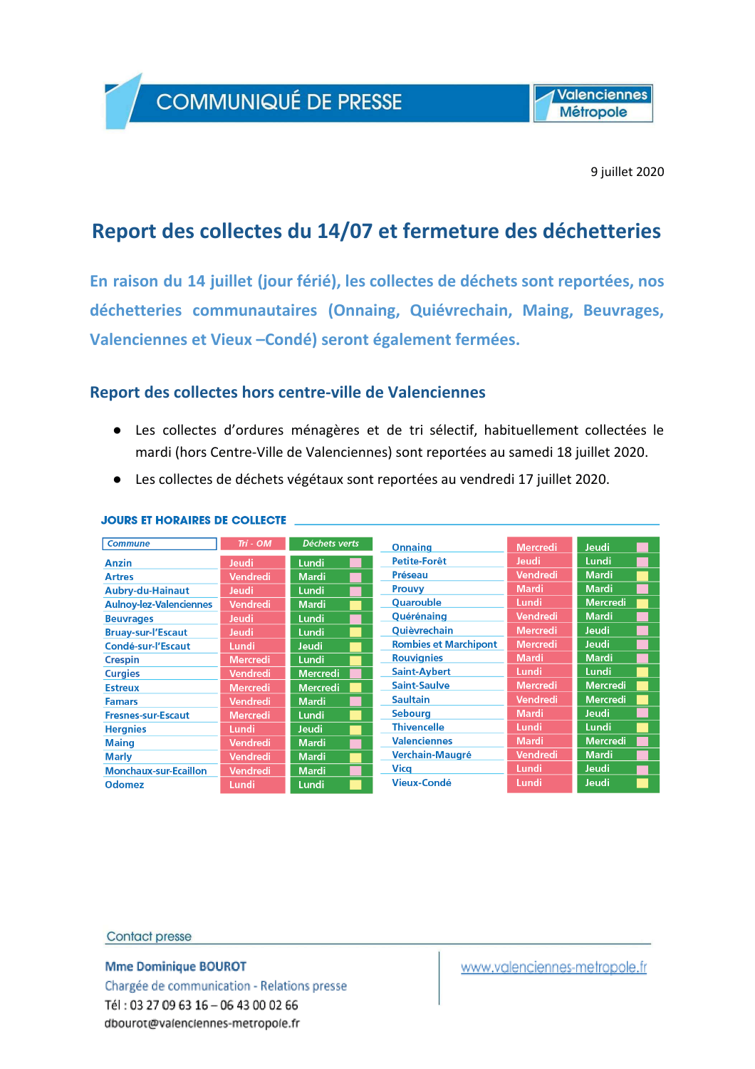**COMMUNIQUÉ DE PRESSE** 

**Valenciennes Métropole** 

9 juillet 2020

## Report des collectes du 14/07 et fermeture des déchetteries

En raison du 14 juillet (jour férié), les collectes de déchets sont reportées, nos déchetteries communautaires (Onnaing, Quiévrechain, Maing, Beuvrages, Valenciennes et Vieux - Condé) seront également fermées.

## Report des collectes hors centre-ville de Valenciennes

- Les collectes d'ordures ménagères et de tri sélectif, habituellement collectées le mardi (hors Centre-Ville de Valenciennes) sont reportées au samedi 18 juillet 2020.
- Les collectes de déchets végétaux sont reportées au vendredi 17 juillet 2020.

| <b>Commune</b>                 | $Tri - OM$      | <b>Déchets verts</b> | <b>Onnaing</b>               | <b>Mercredi</b> | Jeudi           |
|--------------------------------|-----------------|----------------------|------------------------------|-----------------|-----------------|
| Anzin                          | <b>Jeudi</b>    | Lundi                | Petite-Forêt                 | Jeudi           | Lundi           |
| <b>Artres</b>                  | Vendredi        | <b>Mardi</b>         | Préseau                      | <b>Vendredi</b> | <b>Mardi</b>    |
| <b>Aubry-du-Hainaut</b>        | <b>Jeudi</b>    | Lundi                | Prouvy                       | Mardi           | <b>Mardi</b>    |
| <b>Aulnoy-lez-Valenciennes</b> | <b>Vendredi</b> | <b>Mardi</b>         | Quarouble                    | Lundi           | <b>Mercredi</b> |
| <b>Beuvrages</b>               | <b>Jeudi</b>    | Lundi                | Quérénaing                   | <b>Vendredi</b> | <b>Mardi</b>    |
| <b>Bruay-sur-l'Escaut</b>      | <b>Jeudi</b>    | Lundi                | <b>Oujèvrechain</b>          | <b>Mercredi</b> | <b>Jeudi</b>    |
| Condé-sur-l'Escaut             | Lundi           | <b>Jeudi</b>         | <b>Rombies et Marchipont</b> | <b>Mercredi</b> | <b>Jeudi</b>    |
| <b>Crespin</b>                 | <b>Mercredi</b> | Lundi                | <b>Rouvignies</b>            | <b>Mardi</b>    | <b>Mardi</b>    |
| <b>Curgies</b>                 | Vendredi        | <b>Mercredi</b>      | <b>Saint-Aybert</b>          | Lundi           | Lundi           |
| <b>Estreux</b>                 | <b>Mercredi</b> | <b>Mercredi</b>      | <b>Saint-Saulve</b>          | <b>Mercredi</b> | <b>Mercredi</b> |
| <b>Famars</b>                  | Vendredi        | <b>Mardi</b>         | <b>Saultain</b>              | <b>Vendredi</b> | <b>Mercredi</b> |
| <b>Fresnes-sur-Escaut</b>      | <b>Mercredi</b> | Lundi                | <b>Sebourg</b>               | Mardi           | Jeudi           |
| <b>Hergnies</b>                | Lundi           | <b>Jeudi</b>         | <b>Thivencelle</b>           | Lundi           | Lundi           |
| <b>Maing</b>                   | Vendredi        | <b>Mardi</b>         | <b>Valenciennes</b>          | <b>Mardi</b>    | <b>Mercredi</b> |
| <b>Marly</b>                   | Vendredi        | <b>Mardi</b>         | <b>Verchain-Maugré</b>       | Vendredi        | <b>Mardi</b>    |
| <b>Monchaux-sur-Ecaillon</b>   | Vendredi        | <b>Mardi</b>         | Vica                         | Lundi           | Jeudi           |
| <b>Odomez</b>                  | Lundi           | Lundi                | Vieux-Condé                  | Lundi           | Jeudi           |

#### **JOURS ET HORAIRES DE COLLECTE**

#### **Contact presse**

**Mme Dominique BOUROT** 

Chargée de communication - Relations presse Tél: 03 27 09 63 16 - 06 43 00 02 66 dbourot@valenciennes-metropole.fr

www.valenciennes-metropole.fr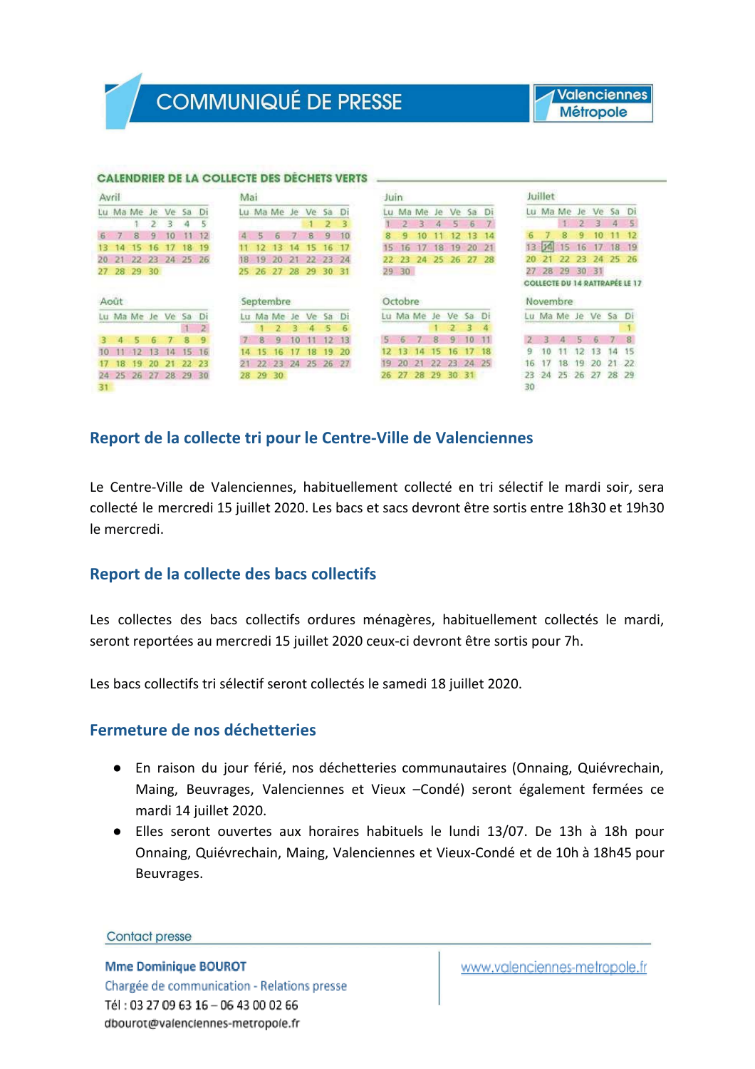# **COMMUNIQUÉ DE PRESSE**

### **Valenciennes Métropole**

#### **CALENDRIER DE LA COLLECTE DES DÉCHETS VERTS ...**

| Avril |       |             |    |                      |     |                | Mai |    |             |    |          |       |    | Juin |                |              |       |                 |           |       |    | <b>Juillet</b> |             |                |             |       |                                             |
|-------|-------|-------------|----|----------------------|-----|----------------|-----|----|-------------|----|----------|-------|----|------|----------------|--------------|-------|-----------------|-----------|-------|----|----------------|-------------|----------------|-------------|-------|---------------------------------------------|
|       |       | Lu Ma Me    | Je | Ve                   | Sa  | Di             |     |    | Lu Ma Me Je |    |          | Ve Sa | Ði | Lu   | Ma             | Me           | Je    | Ve              | 5a        | Di    |    |                | Lu Ma Me    | Je             | Ve          | Sa    | Di                                          |
|       |       |             |    | 3                    | а   | 5              |     |    |             |    |          | 2     | з  |      | $\overline{2}$ | $\mathbf{3}$ | 4     | s               | 6         |       |    |                |             | $\mathfrak{D}$ | a           | 4     | $-5$                                        |
| 6     |       | 8           |    | ю                    |     |                |     | 55 | 6           |    | B        | 9     | 10 | 8    | ۰              |              |       |                 | 13        | 14    | 6  |                | 8           | $\mathbf{Q}$   | 10          |       | 12 <sub>12</sub>                            |
| 13.   | м     | 15          | 16 |                      | 18  | 19             |     |    | 13          | 14 | 15       | 16    | 17 | 15   | 16             |              | 18    | 19              | 20        | 21    | 13 | <b>DAI</b>     | 15          | 16             |             | 18    | $-19$                                       |
|       | 20 21 |             |    | 22 23 24 25 26       |     |                |     | 19 | 20          | 21 | 22 23 24 |       |    | 22   |                | 23 24        |       | 25 26           |           | 27 28 | 20 | 21             | -22         |                | 23 24 25 26 |       |                                             |
|       |       | 27 28 29    | 30 |                      |     |                | 25. | 26 | 27          | 28 | 29       | 30.   | 31 |      | 29 30          |              |       |                 |           |       |    |                | 27 28 29    |                | 30 31       |       |                                             |
|       |       |             |    |                      |     |                |     |    |             |    |          |       |    |      |                |              |       |                 |           |       |    |                |             |                |             |       |                                             |
|       | Août  |             |    |                      |     |                |     |    | Septembre   |    |          |       |    |      | Octobre        |              |       |                 |           |       |    |                | Novembre    |                |             |       |                                             |
|       |       | Lu Ma Me Je |    | Ve                   | Sa  | Ð              |     |    | Lu Ma Me    | Je | Ve.      | Sa    | D  |      |                | Lu Ma Me     | Je    | Ve              | <b>Sa</b> | Di    |    |                | Lu Ma Me Je |                | Ve          | Sa    | <b>COLLECTE DU 14 RATTRAPÉE LE 17</b><br>Di |
|       |       |             |    |                      |     | $\overline{2}$ |     |    |             | R. | 4        | 5     | 6  |      |                |              |       |                 | R         |       |    |                |             |                |             |       |                                             |
|       |       |             |    |                      | 8   | $\mathbf{Q}$   |     | 8  | 9           |    |          |       | 13 |      |                |              | 8     | q               |           |       |    |                |             | 5              |             |       |                                             |
|       |       |             |    |                      | 15. | 16             |     |    |             |    | ю        | 19    | 20 |      |                |              | 15    | 16              |           | 18    | 9  | 10             |             | 12.            | 13          | 1 Д   | 15                                          |
|       | 18    | 19          | 20 | 21                   | 22  | 23             | 21  |    | 22 23 24    |    | 25 26 27 |       |    | 19   | 20             | -21          | $-22$ | 23 <sub>1</sub> | 24 25     |       | 16 | 17             | 18          | 19             | -20         | 21    | -22                                         |
|       |       |             |    | 24 25 26 27 28 29 30 |     |                | 28  |    | 29 30       |    |          |       |    | 26.  | 27             | 28           | 29    | 30              | 31        |       | 23 | 24             | 25 26       |                | $-27$       | 28 29 |                                             |

## Report de la collecte tri pour le Centre-Ville de Valenciennes

Le Centre-Ville de Valenciennes, habituellement collecté en tri sélectif le mardi soir, sera collecté le mercredi 15 juillet 2020. Les bacs et sacs devront être sortis entre 18h30 et 19h30 le mercredi.

### Report de la collecte des bacs collectifs

Les collectes des bacs collectifs ordures ménagères, habituellement collectés le mardi, seront reportées au mercredi 15 juillet 2020 ceux-ci devront être sortis pour 7h.

Les bacs collectifs tri sélectif seront collectés le samedi 18 juillet 2020.

## Fermeture de nos déchetteries

- En raison du jour férié, nos déchetteries communautaires (Onnaing, Quiévrechain, Maing, Beuvrages, Valenciennes et Vieux - Condé) seront également fermées ce mardi 14 juillet 2020.
- Elles seront ouvertes aux horaires habituels le lundi 13/07. De 13h à 18h pour Onnaing, Quiévrechain, Maing, Valenciennes et Vieux-Condé et de 10h à 18h45 pour Beuvrages.

**Contact presse** 

**Mme Dominique BOUROT** Chargée de communication - Relations presse Tél: 03 27 09 63 16 - 06 43 00 02 66 dbourot@valenciennes-metropole.fr

www.valenciennes-metropole.fr